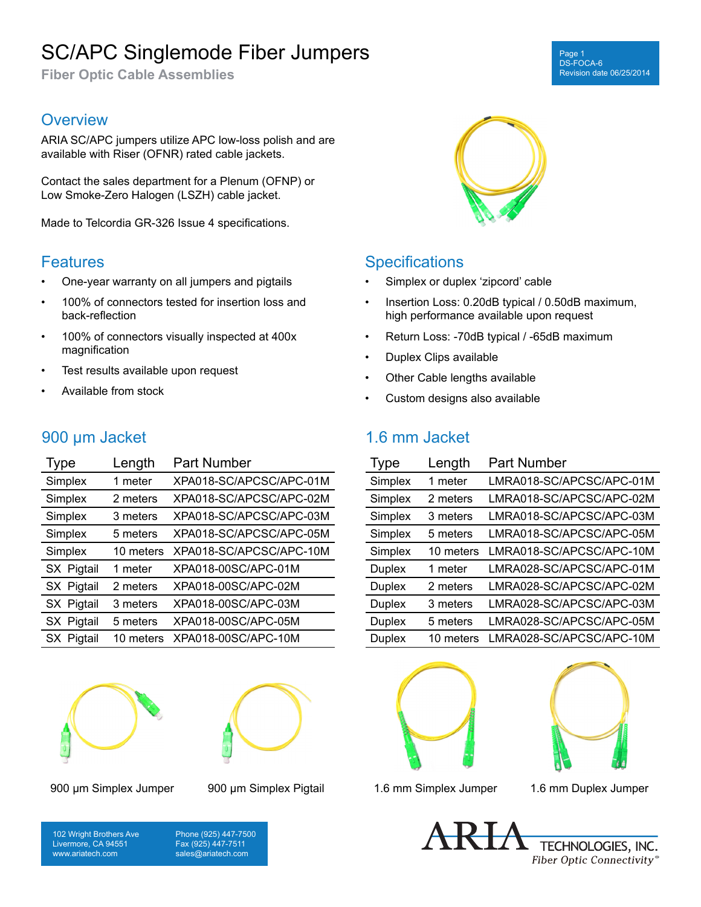# SC/APC Singlemode Fiber Jumpers

**Fiber Optic Cable Assemblies**

### **Overview**

ARIA SC/APC jumpers utilize APC low-loss polish and are available with Riser (OFNR) rated cable jackets.

Contact the sales department for a Plenum (OFNP) or Low Smoke-Zero Halogen (LSZH) cable jacket.

Made to Telcordia GR-326 Issue 4 specifications.

#### **Features**

- One-year warranty on all jumpers and pigtails
- 100% of connectors tested for insertion loss and back-reflection
- 100% of connectors visually inspected at 400x magnification
- Test results available upon request
- Available from stock

# 900 µm Jacket

| <b>Type</b> | Length    | <b>Part Number</b>      |
|-------------|-----------|-------------------------|
| Simplex     | 1 meter   | XPA018-SC/APCSC/APC-01M |
| Simplex     | 2 meters  | XPA018-SC/APCSC/APC-02M |
| Simplex     | 3 meters  | XPA018-SC/APCSC/APC-03M |
| Simplex     | 5 meters  | XPA018-SC/APCSC/APC-05M |
| Simplex     | 10 meters | XPA018-SC/APCSC/APC-10M |
| SX Pigtail  | 1 meter   | XPA018-00SC/APC-01M     |
| SX Pigtail  | 2 meters  | XPA018-00SC/APC-02M     |
| SX Pigtail  | 3 meters  | XPA018-00SC/APC-03M     |
| SX Pigtail  | 5 meters  | XPA018-00SC/APC-05M     |
| SX Pigtail  | 10 meters | XPA018-00SC/APC-10M     |





900 µm Simplex Jumper 900 µm Simplex Pigtail 1.6 mm Simplex Jumper 1.6 mm Duplex Jumper



## **Specifications**

- Simplex or duplex 'zipcord' cable
- Insertion Loss: 0.20dB typical / 0.50dB maximum, high performance available upon request
- Return Loss: -70dB typical / -65dB maximum
- Duplex Clips available
- Other Cable lengths available
- Custom designs also available

## 1.6 mm Jacket

| Type          | Length    | <b>Part Number</b>       |
|---------------|-----------|--------------------------|
| Simplex       | 1 meter   | LMRA018-SC/APCSC/APC-01M |
| Simplex       | 2 meters  | LMRA018-SC/APCSC/APC-02M |
| Simplex       | 3 meters  | LMRA018-SC/APCSC/APC-03M |
| Simplex       | 5 meters  | LMRA018-SC/APCSC/APC-05M |
| Simplex       | 10 meters | LMRA018-SC/APCSC/APC-10M |
| <b>Duplex</b> | 1 meter   | LMRA028-SC/APCSC/APC-01M |
| <b>Duplex</b> | 2 meters  | LMRA028-SC/APCSC/APC-02M |
| <b>Duplex</b> | 3 meters  | LMRA028-SC/APCSC/APC-03M |
| <b>Duplex</b> | 5 meters  | LMRA028-SC/APCSC/APC-05M |
| <b>Duplex</b> | 10 meters | LMRA028-SC/APCSC/APC-10M |





TECHNOLOGIES, INC. Fiber Optic Connectivity®

Phone (925) 447-7500 Fax (925) 447-7511 sales@ariatech.com